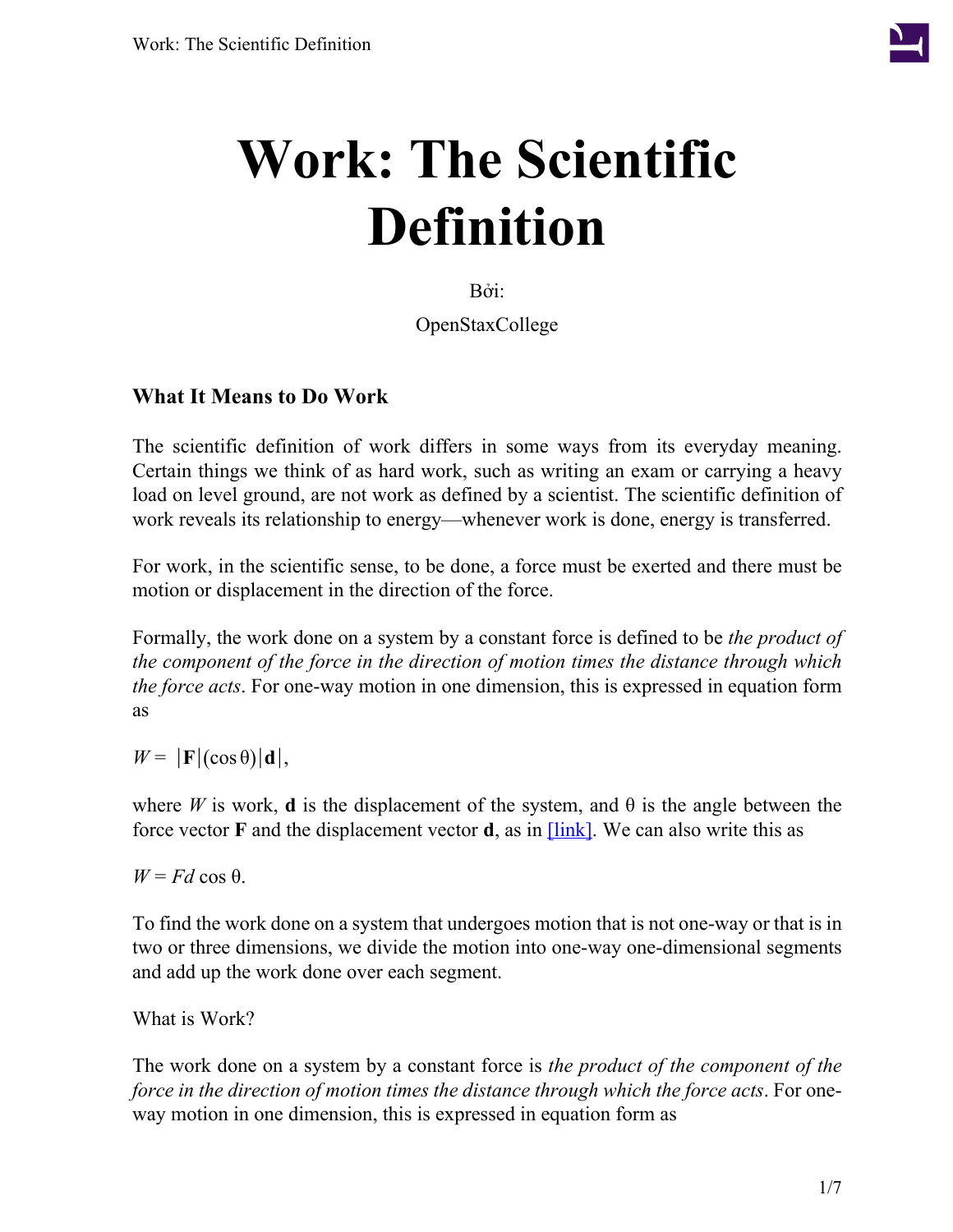

# **Work: The Scientific Definition**

Bởi:

OpenStaxCollege

#### **What It Means to Do Work**

The scientific definition of work differs in some ways from its everyday meaning. Certain things we think of as hard work, such as writing an exam or carrying a heavy load on level ground, are not work as defined by a scientist. The scientific definition of work reveals its relationship to energy—whenever work is done, energy is transferred.

For work, in the scientific sense, to be done, a force must be exerted and there must be motion or displacement in the direction of the force.

Formally, the work done on a system by a constant force is defined to be *the product of the component of the force in the direction of motion times the distance through which the force acts*. For one-way motion in one dimension, this is expressed in equation form as

 $W = |\mathbf{F}|(\cos \theta)|\mathbf{d}|,$ 

where *W* is work, **d** is the displacement of the system, and  $\theta$  is the angle between the force vector **F** and the displacement vector **d**, as in  $\boxed{\text{link}}$ . We can also write this as

 $W = Fd \cos \theta$ .

To find the work done on a system that undergoes motion that is not one-way or that is in two or three dimensions, we divide the motion into one-way one-dimensional segments and add up the work done over each segment.

What is Work?

The work done on a system by a constant force is *the product of the component of the force in the direction of motion times the distance through which the force acts*. For oneway motion in one dimension, this is expressed in equation form as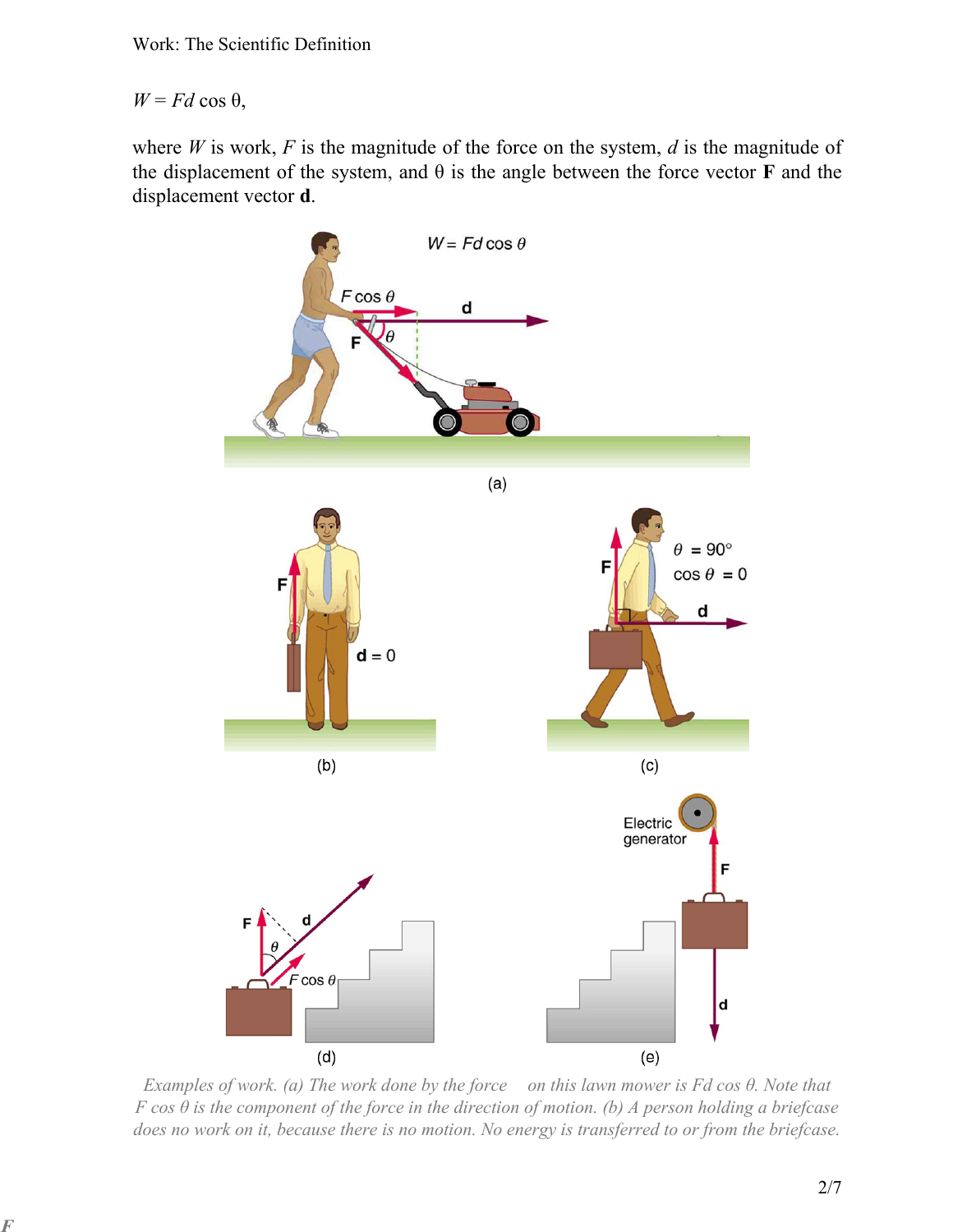$W = Fd \cos \theta$ ,

**F**

<span id="page-1-0"></span>where  $W$  is work,  $F$  is the magnitude of the force on the system,  $d$  is the magnitude of the displacement of the system, and  $\theta$  is the angle between the force vector **F** and the displacement vector **d**.



*Examples of work. (a) The work done by the force on this lawn mower is Fd cos θ. Note that F cos θ is the component of the force in the direction of motion. (b) A person holding a briefcase does no work on it, because there is no motion. No energy is transferred to or from the briefcase.*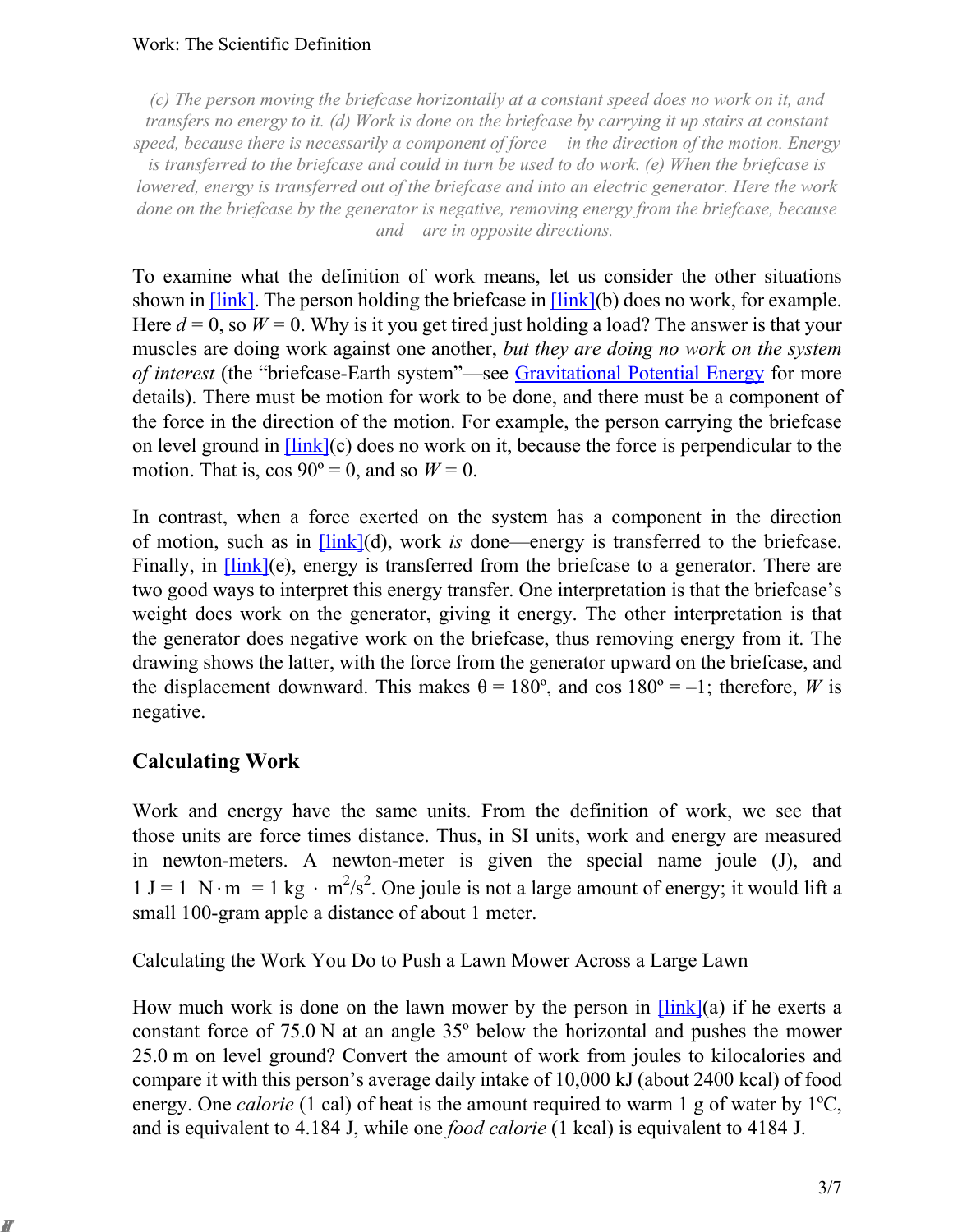#### Work: The Scientific Definition

*(c) The person moving the briefcase horizontally at a constant speed does no work on it, and transfers no energy to it. (d) Work is done on the briefcase by carrying it up stairs at constant speed, because there is necessarily a component of force in the direction of the motion. Energy is transferred to the briefcase and could in turn be used to do work. (e) When the briefcase is lowered, energy is transferred out of the briefcase and into an electric generator. Here the work done on the briefcase by the generator is negative, removing energy from the briefcase, because and are in opposite directions.* 

To examine what the definition of work means, let us consider the other situations shown in  $[\text{link}]$ . The person holding the briefcase in  $[\text{link}](b)$  does no work, for example. Here  $d = 0$ , so  $W = 0$ . Why is it you get tired just holding a load? The answer is that your muscles are doing work against one another, *but they are doing no work on the system of interest* (the "briefcase-Earth system"—see [Gravitational](/m42148) Potential Energy for more details). There must be motion for work to be done, and there must be a component of the force in the direction of the motion. For example, the person carrying the briefcase on level ground in  $[\text{link}](c)$  does no work on it, because the force is perpendicular to the motion. That is,  $\cos 90^\circ = 0$ , and so  $W = 0$ .

and are in opposite directions.<br>
and are in opposite directions.<br>
Shown in [link]. The person holding the briefcase in [link](b)<br>
Here  $d = 0$ , so  $W = 0$ . Why is it you get tired just holding a l<br>
muscles are doing work ag In contrast, when a force exerted on the system has a component in the direction of motion, such as in [\[link\]\(](#page-1-0)d), work *is* done—energy is transferred to the briefcase. Finally, in  $\overline{\text{link}}(e)$ , energy is transferred from the briefcase to a generator. There are two good ways to interpret this energy transfer. One interpretation is that the briefcase's weight does work on the generator, giving it energy. The other interpretation is that the generator does negative work on the briefcase, thus removing energy from it. The drawing shows the latter, with the force from the generator upward on the briefcase, and the displacement downward. This makes  $\theta = 180^{\circ}$ , and cos  $180^{\circ} = -1$ ; therefore, *W* is negative.

#### **Calculating Work**

**F**

Work and energy have the same units. From the definition of work, we see that those units are force times distance. Thus, in SI units, work and energy are measured in newton-meters. A newton-meter is given the special name joule (J), and  $1 J = 1 N·m = 1 kg · m<sup>2</sup>/s<sup>2</sup>$ . One joule is not a large amount of energy; it would lift a small 100-gram apple a distance of about 1 meter.

Calculating the Work You Do to Push a Lawn Mower Across a Large Lawn

How much work is done on the lawn mower by the person in  $[\text{link}](a)$  if he exerts a constant force of 75.0 N at an angle 35º below the horizontal and pushes the mower 25.0 m on level ground? Convert the amount of work from joules to kilocalories and compare it with this person's average daily intake of 10,000 kJ (about 2400 kcal) of food energy. One *calorie* (1 cal) of heat is the amount required to warm 1 g of water by 1<sup>o</sup>C, and is equivalent to 4.184 J, while one *food calorie* (1 kcal) is equivalent to 4184 J.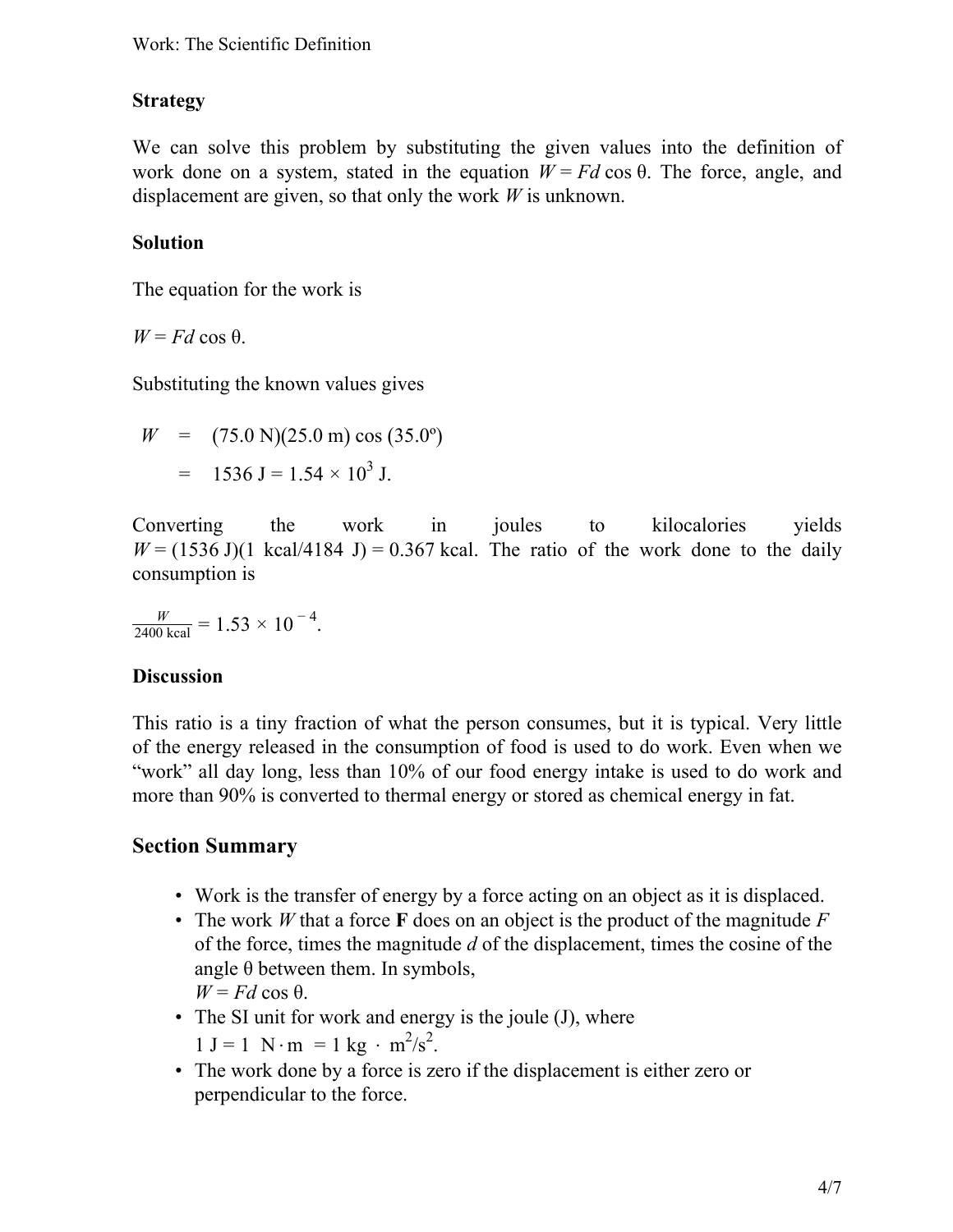### **Strategy**

We can solve this problem by substituting the given values into the definition of work done on a system, stated in the equation  $W = Fd \cos \theta$ . The force, angle, and displacement are given, so that only the work *W* is unknown.

#### **Solution**

The equation for the work is

 $W = Fd \cos \theta$ .

Substituting the known values gives

 $W = (75.0 \text{ N})(25.0 \text{ m}) \cos(35.0^{\circ})$  $=$  1536 J = 1.54  $\times$  10<sup>3</sup> J.

Converting the work in joules to kilocalories yields  $W = (1536 \text{ J})(1 \text{ kcal}/4184 \text{ J}) = 0.367 \text{ kcal}$ . The ratio of the work done to the daily consumption is

 $\frac{W}{2400 \text{ kcal}} = 1.53 \times 10^{-4}$ .

#### **Discussion**

This ratio is a tiny fraction of what the person consumes, but it is typical. Very little of the energy released in the consumption of food is used to do work. Even when we "work" all day long, less than 10% of our food energy intake is used to do work and more than 90% is converted to thermal energy or stored as chemical energy in fat.

# **Section Summary**

- Work is the transfer of energy by a force acting on an object as it is displaced.
- The work *W* that a force **F** does on an object is the product of the magnitude *F* of the force, times the magnitude *d* of the displacement, times the cosine of the angle  $\theta$  between them. In symbols,  $W = Fd \cos \theta$ .
- The SI unit for work and energy is the joule (J), where  $1 J = 1 N \cdot m = 1 kg \cdot m^2/s^2$ .
- The work done by a force is zero if the displacement is either zero or perpendicular to the force.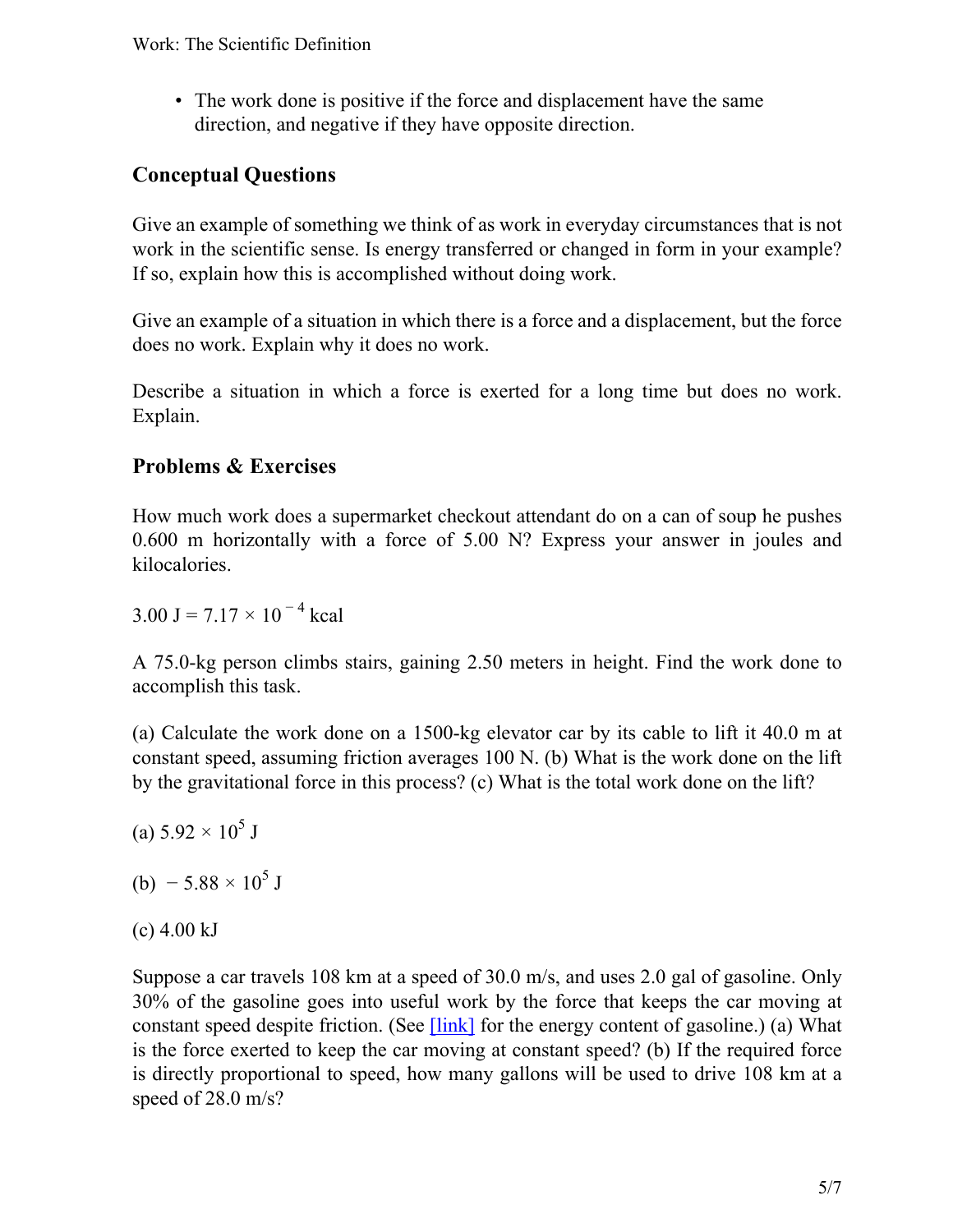• The work done is positive if the force and displacement have the same direction, and negative if they have opposite direction.

# **Conceptual Questions**

Give an example of something we think of as work in everyday circumstances that is not work in the scientific sense. Is energy transferred or changed in form in your example? If so, explain how this is accomplished without doing work.

Give an example of a situation in which there is a force and a displacement, but the force does no work. Explain why it does no work.

Describe a situation in which a force is exerted for a long time but does no work. Explain.

# **Problems & Exercises**

How much work does a supermarket checkout attendant do on a can of soup he pushes 0.600 m horizontally with a force of 5.00 N? Express your answer in joules and kilocalories.

3.00 J = 7.17  $\times$  10<sup>-4</sup> kcal

A 75.0-kg person climbs stairs, gaining 2.50 meters in height. Find the work done to accomplish this task.

(a) Calculate the work done on a 1500-kg elevator car by its cable to lift it 40.0 m at constant speed, assuming friction averages 100 N. (b) What is the work done on the lift by the gravitational force in this process? (c) What is the total work done on the lift?

- (a)  $5.92 \times 10^5$  J
- (b)  $-5.88 \times 10^5$  J
- $(c)$  4.00 kJ

Suppose a car travels 108 km at a speed of 30.0 m/s, and uses 2.0 gal of gasoline. Only 30% of the gasoline goes into useful work by the force that keeps the car moving at constant speed despite friction. (See  $\boxed{\text{link}}$  for the energy content of gasoline.) (a) What is the force exerted to keep the car moving at constant speed? (b) If the required force is directly proportional to speed, how many gallons will be used to drive 108 km at a speed of 28.0 m/s?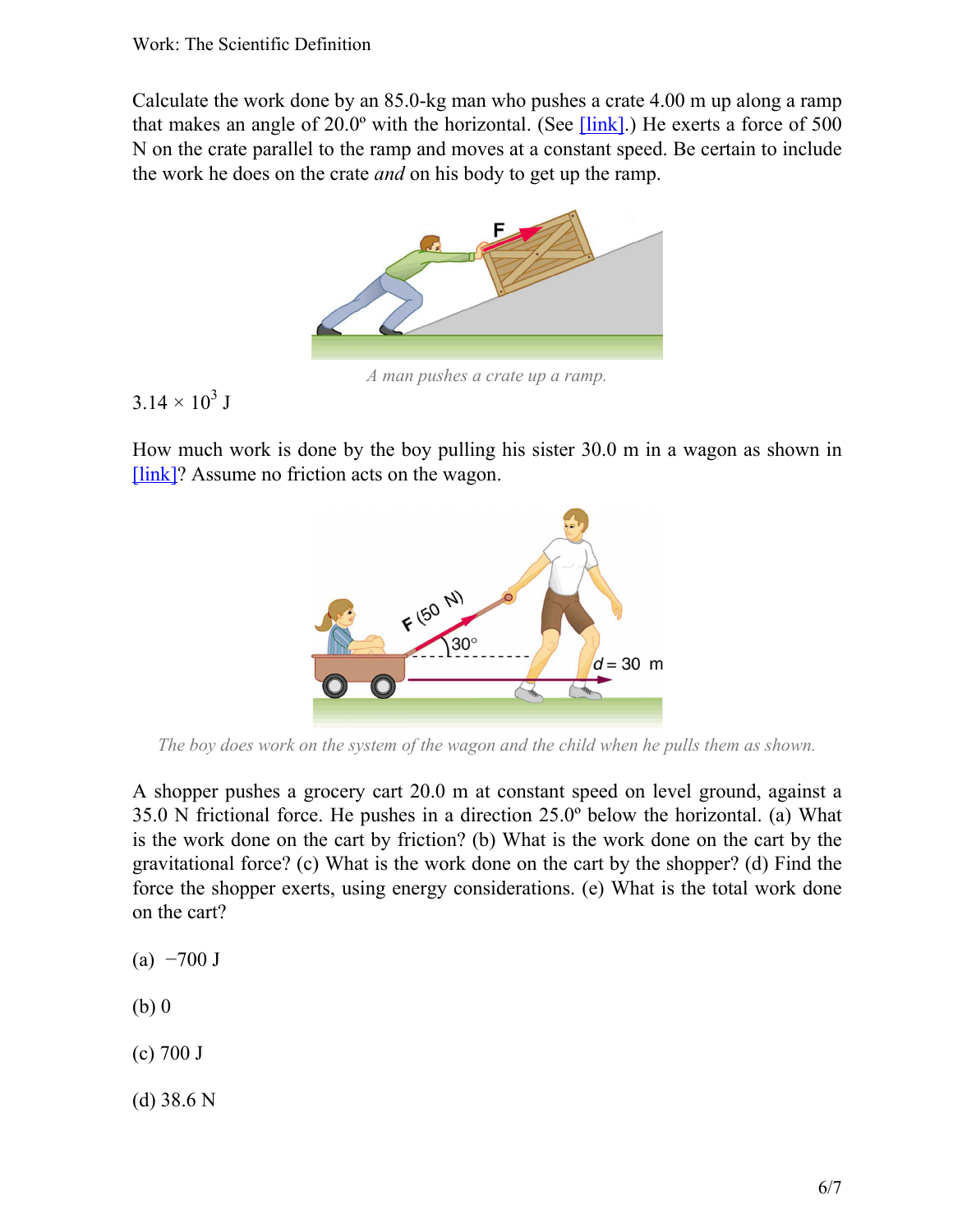<span id="page-5-0"></span>Calculate the work done by an 85.0-kg man who pushes a crate 4.00 m up along a ramp that makes an angle of 20.0º with the horizontal. (See [\[link\]](#page-5-0).) He exerts a force of 500 N on the crate parallel to the ramp and moves at a constant speed. Be certain to include the work he does on the crate *and* on his body to get up the ramp.



*A man pushes a crate up a ramp.*

 $3.14 \times 10^3$  J

<span id="page-5-1"></span>How much work is done by the boy pulling his sister 30.0 m in a wagon as shown in [\[link\]?](#page-5-1) Assume no friction acts on the wagon.



*The boy does work on the system of the wagon and the child when he pulls them as shown.*

A shopper pushes a grocery cart 20.0 m at constant speed on level ground, against a 35.0 N frictional force. He pushes in a direction 25.0º below the horizontal. (a) What is the work done on the cart by friction? (b) What is the work done on the cart by the gravitational force? (c) What is the work done on the cart by the shopper? (d) Find the force the shopper exerts, using energy considerations. (e) What is the total work done on the cart?

- $(a) -700$  J
- (b) 0
- (c) 700 J
- (d) 38.6 N